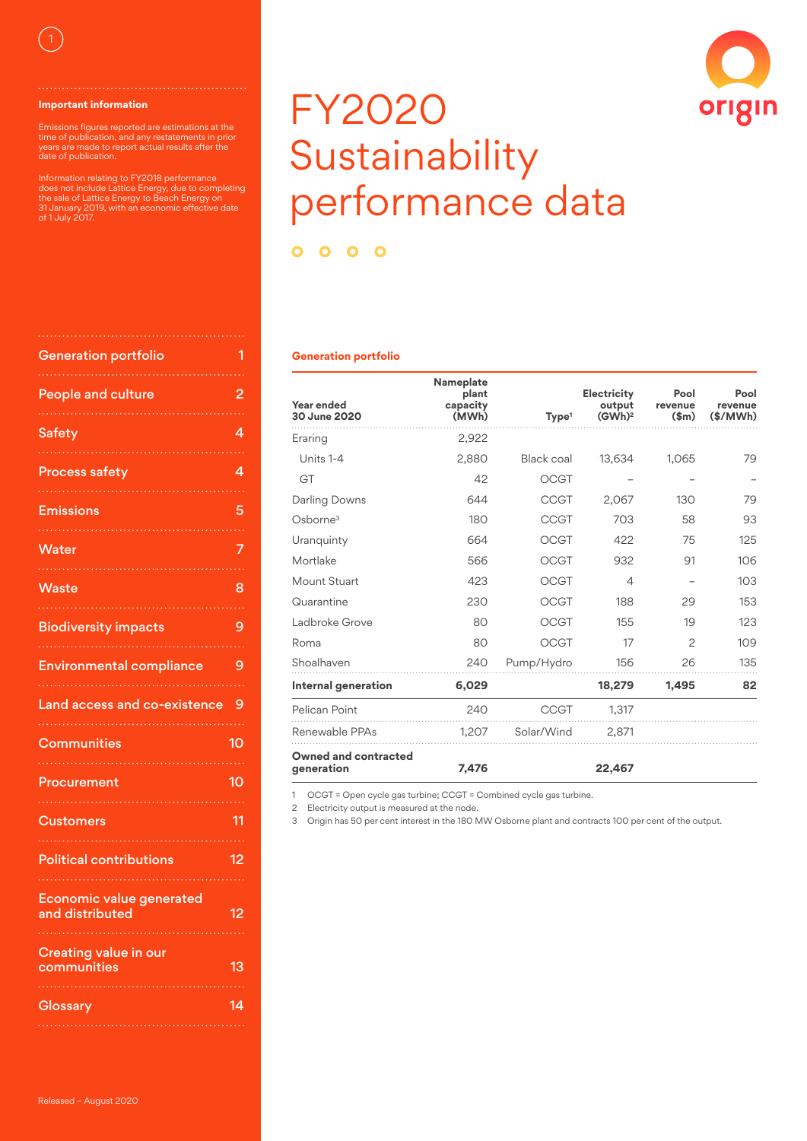

#### **Important information**

Emissions figures reported are estimations at the time of publication, and any restatements in prior years are made to report actual results after the date of publication.

Information relating to FY2018 performance does not include Lattice Energy, due to completing the sale of Lattice Energy to Beach Energy on 31 January 2019, with an economic effective date of 1 July 2017.

| <b>Generation portfolio</b>                        | 1  |
|----------------------------------------------------|----|
|                                                    |    |
| <b>People and culture</b>                          | 2  |
| <b>Safety</b>                                      | 4  |
| <b>Process safety</b>                              | 4  |
| <b>Emissions</b>                                   | 5  |
| Water                                              | 7  |
| Waste                                              | 8  |
| <b>Biodiversity impacts</b>                        | 9  |
| <b>Environmental compliance</b>                    | 9  |
|                                                    |    |
| Land access and co-existence                       | 9  |
| Communities                                        | 10 |
| Procurement                                        | 10 |
| <b>Customers</b>                                   | 11 |
| <b>Political contributions</b>                     | 12 |
| <b>Economic value generated</b><br>and distributed | 12 |
| <b>Creating value in our</b><br>communities        | 13 |

# FY2020 Sustainability performance data

origin

 $0000$ 

#### **Generation portfolio**

| Year ended<br>30 June 2020         | Nameplate<br>plant<br>capacity<br>(MWh) | Type <sup>1</sup> | Electricity<br>output<br>(GWh) <sup>2</sup> | Pool<br>revenue<br>\$m\$ | Pool<br>revenue<br>(\$/MWh) |
|------------------------------------|-----------------------------------------|-------------------|---------------------------------------------|--------------------------|-----------------------------|
| Eraring                            | 2,922                                   |                   |                                             |                          |                             |
| Units 1-4                          | 2,880                                   | Black coal        | 13,634                                      | 1,065                    | 79                          |
| GT                                 | 42                                      | <b>OCGT</b>       |                                             |                          |                             |
| Darling Downs                      | 644                                     | <b>CCGT</b>       | 2,067                                       | 130                      | 79                          |
| Oshorne <sup>3</sup>               | 180                                     | CCGT              | 703                                         | 58                       | 93                          |
| Uranquinty                         | 664                                     | <b>OCGT</b>       | 422                                         | 75                       | 125                         |
| Mortlake                           | 566                                     | OCGT              | 932                                         | 91                       | 106                         |
| Mount Stuart                       | 423                                     | OCGT              | 4                                           |                          | 103                         |
| Quarantine                         | 230                                     | <b>OCGT</b>       | 188                                         | 29                       | 153                         |
| Ladbroke Grove                     | 80                                      | <b>OCGT</b>       | 155                                         | 19                       | 123                         |
| Roma                               | 80                                      | <b>OCGT</b>       | 17                                          | $\mathcal{P}$            | 109                         |
| Shoalhaven                         | 240                                     | Pump/Hydro        | 156                                         | 26                       | 135                         |
| Internal generation                | 6,029                                   |                   | 18,279                                      | 1.495                    | 82                          |
| Pelican Point                      | 240                                     | <b>CCGT</b>       | 1,317                                       |                          |                             |
| Renewable PPAs                     | 1,207                                   | Solar/Wind        | 2,871                                       |                          |                             |
| Owned and contracted<br>generation | 7,476                                   |                   | 22,467                                      |                          |                             |

1 OCGT = Open cycle gas turbine; CCGT = Combined cycle gas turbine.

2 Electricity output is measured at the node.

3 Origin has 50 per cent interest in the 180 MW Osborne plant and contracts 100 per cent of the output.

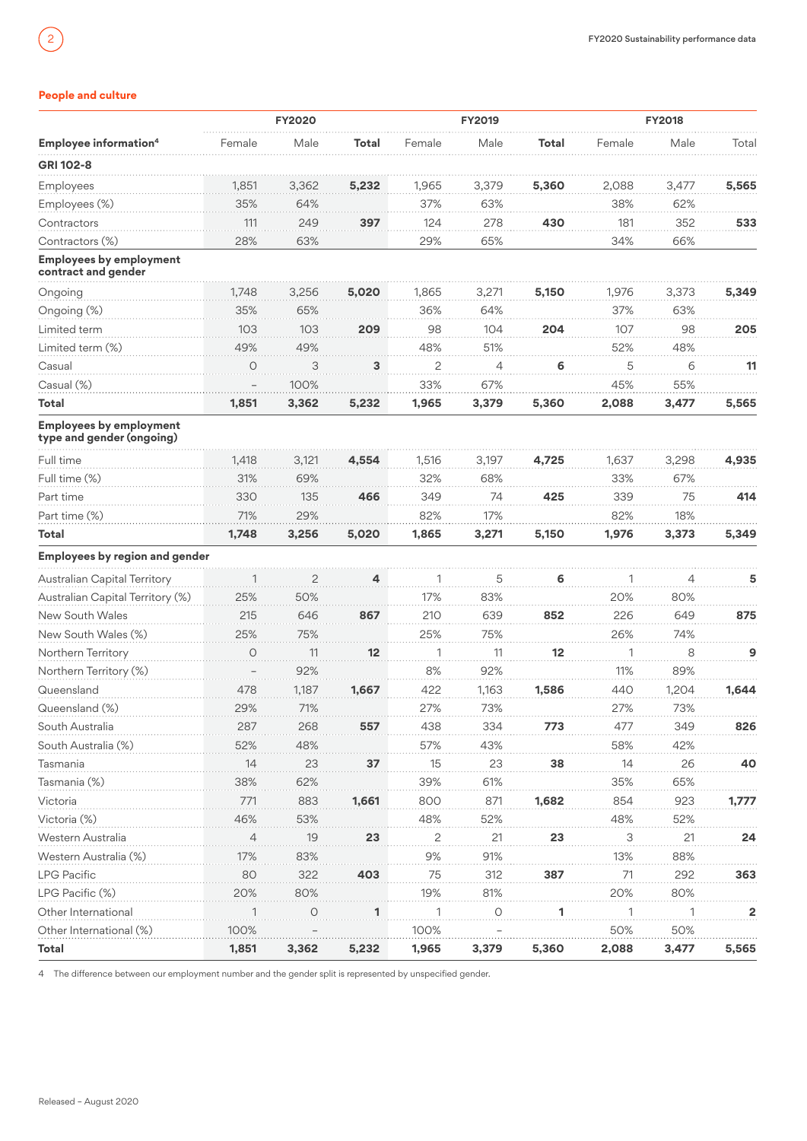# <span id="page-1-0"></span>**People and culture**

|                                                             |        | <b>FY2020</b>  |       |                | <b>FY2019</b>  |       |                     | <b>FY2018</b> |                |
|-------------------------------------------------------------|--------|----------------|-------|----------------|----------------|-------|---------------------|---------------|----------------|
| <b>Employee information4</b>                                | Female | Male           | Total | Female         | Male           | Total | Female              | Male          | Total          |
| GRI 102-8                                                   |        |                |       |                |                |       |                     |               |                |
| Employees                                                   | 1.851  | 3.362          | 5.232 | 1,965          | 3,379          | 5,360 | 2.088               | 3,477         | 5,565          |
| Employees (%)                                               | 35%    | 64%            |       | 37%            | 63%            |       | 38%                 | 62%           |                |
| Contractors                                                 | 111    | 249            | 397   | 124            | 278            | 430   | 181                 | 352           | 533            |
| Contractors (%)                                             | 28%    | 63%            |       | 29%            | 65%            |       | 34%                 | 66%           |                |
| <b>Employees by employment</b><br>contract and gender       |        |                |       |                |                |       |                     |               |                |
| Ongoing                                                     | 1,748  | 3,256          | 5,020 | 1,865          | 3,271          | 5,150 | 1,976               | 3,373         | 5.349          |
| Ongoing (%)                                                 | 35%    | 65%            |       | 36%            | 64%            |       | 37%                 | 63%           |                |
| Limited term                                                | 103    | 103            | 209   | 98             | 104            | 204   | 107                 | 98            | 205            |
| Limited term (%)                                            | 49%    | 49%            |       | 48%            | 51%            |       | 52%                 | 48%           |                |
| Casual                                                      | O      | 3              | 3     | $\overline{c}$ | $\overline{4}$ | 6     | 5                   | 6             | 11             |
| Casual (%)                                                  |        | 100%           |       | 33%            | 67%            |       | 45%                 | 55%           |                |
| Total                                                       | 1,851  | 3,362          | 5,232 | 1,965          | 3,379          | 5,360 | 2,088               | 3,477         | 5,565          |
| <b>Employees by employment</b><br>type and gender (ongoing) |        |                |       |                |                |       |                     |               |                |
| Full time                                                   | 1,418  | 3,121          | 4,554 | 1,516          | 3,197          | 4,725 | 1,637               | 3,298         | 4,935          |
| Full time (%)                                               | 31%    | 69%            |       | 32%            | 68%            |       | 33%                 | 67%           |                |
| Part time                                                   | 330    | 135            | 466   | 349            | 74             | 425   | 339                 | 75            | 414            |
| Part time (%)                                               | 71%    | 29%            |       | 82%            | 17%            |       | 82%                 | 18%           |                |
| Total                                                       | 1,748  | 3,256          | 5,020 | 1,865          | 3,271          | 5,150 | 1,976               | 3,373         | 5,349          |
| <b>Employees by region and gender</b>                       |        |                |       |                |                |       |                     |               |                |
| Australian Capital Territory                                |        | $\overline{c}$ | 4     |                | 5              | 6     |                     | 4             | 5              |
| Australian Capital Territory (%)                            | 25%    | 50%            |       | 17%            | 83%            |       | 20%                 | 80%           |                |
| New South Wales                                             | 215    | 646            | 867   | 210            | 639            | 852   | 226                 | 649           | 875            |
| New South Wales (%)                                         | 25%    | 75%            |       | 25%            | 75%            |       | 26%                 | 74%           |                |
| Northern Territory                                          | O      | 11             | 12    | 1              | 11             | 12    | 1                   | 8             | 9              |
| Northern Territory (%)                                      |        | 92%            |       | 8%             | 92%            |       | 11%                 | 89%           |                |
| Queensland                                                  | 478    | 1,187          | 1,667 | 422            | 1,163          | 1,586 | 440                 | 1,204         | 1,644          |
| Queensland (%)                                              | 29%    | 71%            |       | 27%            | 73%            |       | 27%                 | 73%           |                |
| South Australia                                             | 287    | 268            | 557   | 438            | 334            | 773   | 477                 | 349           | 826            |
| South Australia (%)                                         | 52%    | 48%            |       | 57%            | 43%            |       | 58%                 | 42%           |                |
| Tasmania                                                    | 14     | 23             | 37    | 15             | 23             | 38    | 14                  | 26            | 40             |
| Tasmania (%)                                                | 38%    | 62%            |       | 39%            | 61%            |       | 35%                 | 65%           |                |
| Victoria                                                    | 771    | 883            | 1,661 | 800            | 871            | 1,682 | 854                 | 923           | 1,777          |
| Victoria (%)                                                | 46%    | 53%            |       | 48%            | 52%            |       | 48%                 | 52%           |                |
| Western Australia                                           | 4      | 19             | 23    | $\overline{S}$ | 21             | 23    | $\ddot{\mathbf{3}}$ | 21            | 24             |
| Western Australia (%)                                       | 17%    | 83%            |       | 9%             | 91%            |       | 13%                 | 88%           |                |
| <b>LPG Pacific</b>                                          | 80     | 322            | 403   | 75             | 312            | 387   | 71                  | 292           | 363            |
| LPG Pacific (%)                                             | 20%    | 80%            |       | 19%            | 81%            |       | 20%                 | 80%           |                |
| Other International                                         |        | O              | 1     | 1              | $\overline{O}$ | 1     | 1                   |               | $\overline{2}$ |
| Other International (%)                                     | 100%   |                |       | 100%           |                |       | 50%                 | 50%           |                |
| Total                                                       | 1,851  | 3,362          | 5,232 | 1,965          | 3,379          | 5,360 | 2,088               | 3,477         | 5,565          |

4 The difference between our employment number and the gender split is represented by unspecified gender.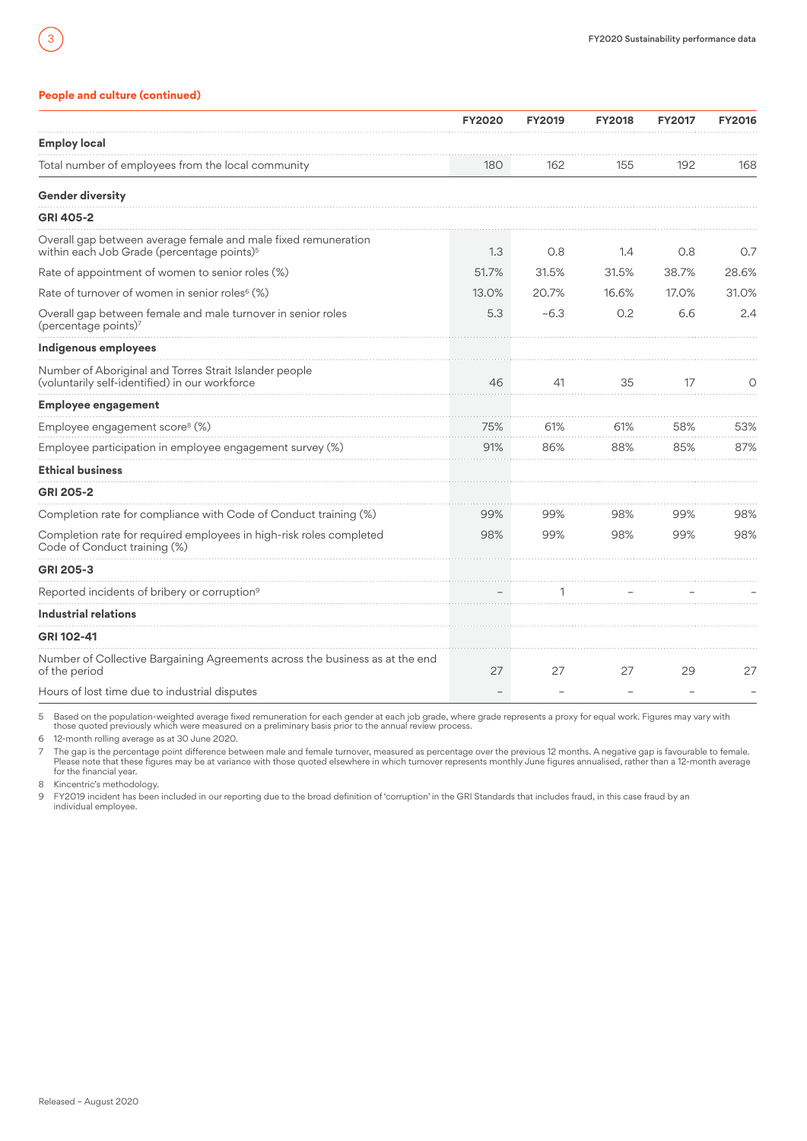# **People and culture (continued)**

|                                                                                                                          | <b>FY2020</b> | <b>FY2019</b> | <b>FY2018</b> | <b>FY2017</b> | <b>FY2016</b> |
|--------------------------------------------------------------------------------------------------------------------------|---------------|---------------|---------------|---------------|---------------|
| <b>Employ local</b>                                                                                                      |               |               |               |               |               |
| Total number of employees from the local community                                                                       | 180           | 162           | 155           | 192           | 168           |
| <b>Gender diversity</b>                                                                                                  |               |               |               |               |               |
| <b>GRI 405-2</b>                                                                                                         |               |               |               |               |               |
| Overall gap between average female and male fixed remuneration<br>within each Job Grade (percentage points) <sup>5</sup> | 1.3           | 0.8           | 1.4           | 0.8           | O.7           |
| Rate of appointment of women to senior roles (%)                                                                         | 51.7%         | 31.5%         | 31.5%         | 38.7%         | 28.6%         |
| Rate of turnover of women in senior roles <sup>6</sup> (%)                                                               | 13.0%         | 20.7%         | 16.6%         | 17.0%         | 31.0%         |
| Overall gap between female and male turnover in senior roles<br>(percentage points)7                                     | 5.3           | $-6.3$        | 0.2           | 6.6           | 2.4           |
| Indigenous employees                                                                                                     |               |               |               |               |               |
| Number of Aboriginal and Torres Strait Islander people<br>(voluntarily self-identified) in our workforce                 | 46            | 41            | 35            | 17            | O             |
| <b>Employee engagement</b>                                                                                               |               |               |               |               |               |
| Employee engagement score <sup>8</sup> (%)                                                                               | 75%           | 61%           | 61%           | 58%           | 53%           |
| Employee participation in employee engagement survey (%)                                                                 | 91%           | 86%           | 88%           | 85%           | 87%           |
| <b>Ethical business</b>                                                                                                  |               |               |               |               |               |
| <b>GRI 205-2</b>                                                                                                         |               |               |               |               |               |
| Completion rate for compliance with Code of Conduct training (%)                                                         | 99%           | 99%           | 98%           | 99%           | 98%           |
| Completion rate for required employees in high-risk roles completed<br>Code of Conduct training (%)                      | 98%           | 99%           | 98%           | 99%           | 98%           |
| <b>GRI 205-3</b>                                                                                                         |               |               |               |               |               |
| Reported incidents of bribery or corruption <sup>9</sup>                                                                 |               |               |               |               |               |
| <b>Industrial relations</b>                                                                                              |               |               |               |               |               |
| GRI 102-41                                                                                                               |               |               |               |               |               |
| Number of Collective Bargaining Agreements across the business as at the end<br>of the period                            | 27            | 27            | 27            | 29            | 27            |
| Hours of lost time due to industrial disputes                                                                            |               |               |               |               |               |

5 Based on the population-weighted average fixed remuneration for each gender at each job grade, where grade represents a proxy for equal work. Figures may vary with<br>those quoted previously which were measured on a prelimi

6 12-month rolling average as at 30 June 2020.

7 The gap is the percentage point difference between male and female turnover, measured as percentage over the previous 12 months. A negative gap is favourable to female.<br>Please note that these figures may be at variance w

8 Kincentric's methodology.

9 FY2019 incident has been included in our reporting due to the broad definition of 'corruption' in the GRI Standards that includes fraud, in this case fraud by an individual employee.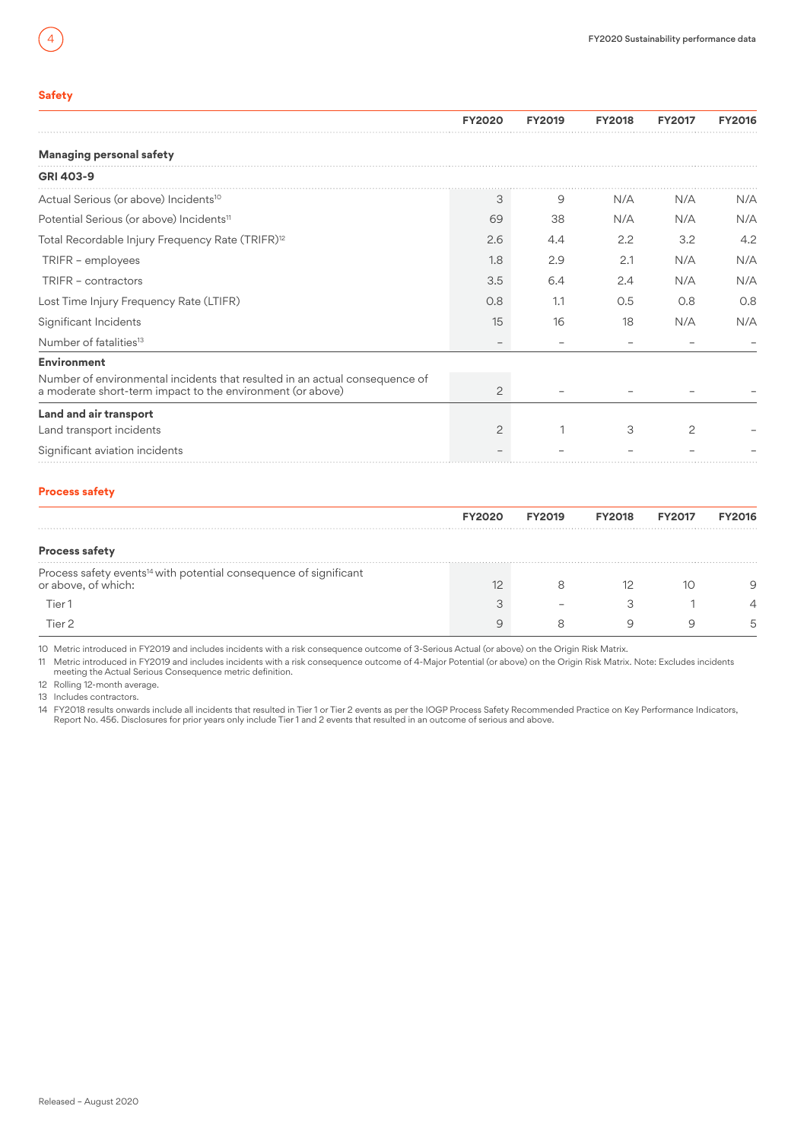# <span id="page-3-0"></span>**Safety**

|                                                                                                                                           | <b>FY2020</b>  | <b>FY2019</b> | <b>FY2018</b> | <b>FY2017</b> | <b>FY2016</b> |
|-------------------------------------------------------------------------------------------------------------------------------------------|----------------|---------------|---------------|---------------|---------------|
| <b>Managing personal safety</b>                                                                                                           |                |               |               |               |               |
| GRI 403-9                                                                                                                                 |                |               |               |               |               |
| Actual Serious (or above) Incidents <sup>10</sup>                                                                                         | З              | 9             | N/A           | N/A           | N/A           |
| Potential Serious (or above) Incidents <sup>11</sup>                                                                                      | 69             | 38            | N/A           | N/A           | N/A           |
| Total Recordable Injury Frequency Rate (TRIFR) <sup>12</sup>                                                                              | 2.6            | 4.4           | 2.2           | 3.2           | 4.2           |
| TRIFR - employees                                                                                                                         | 1.8            | 2.9           | 2.1           | N/A           | N/A           |
| TRIFR - contractors                                                                                                                       | 3.5            | 6.4           | 2.4           | N/A           | N/A           |
| Lost Time Injury Frequency Rate (LTIFR)                                                                                                   | 0.8            | 1.1           | 0.5           | 0.8           | 0.8           |
| Significant Incidents                                                                                                                     | 15             | 16            | 18            | N/A           | N/A           |
| Number of fatalities <sup>13</sup>                                                                                                        |                |               |               |               |               |
| <b>Environment</b>                                                                                                                        |                |               |               |               |               |
| Number of environmental incidents that resulted in an actual consequence of<br>a moderate short-term impact to the environment (or above) | 2              |               |               |               |               |
| Land and air transport                                                                                                                    |                |               |               |               |               |
| Land transport incidents                                                                                                                  | $\overline{c}$ |               | 3             | $\mathcal{P}$ |               |
| Significant aviation incidents                                                                                                            |                |               |               |               |               |

# **Process safety**

|                                                                                                      | <b>FY2020</b> | <b>FY2019</b> | <b>FY2018</b> | <b>FY2017</b> | <b>FY2016</b> |
|------------------------------------------------------------------------------------------------------|---------------|---------------|---------------|---------------|---------------|
| <b>Process safety</b>                                                                                |               |               |               |               |               |
| Process safety events <sup>14</sup> with potential consequence of significant<br>or above, of which: |               |               |               | 10            |               |
| Tier 1                                                                                               |               |               |               |               |               |
| Tier 2                                                                                               |               |               |               |               |               |

10 Metric introduced in FY2019 and includes incidents with a risk consequence outcome of 3-Serious Actual (or above) on the Origin Risk Matrix.

11 Metric introduced in FY2019 and includes incidents with a risk consequence outcome of 4-Major Potential (or above) on the Origin Risk Matrix. Note: Excludes incidents<br>meeting the Actual Serious Consequence metric defini

12 Rolling 12-month average. 13 Includes contractors.

14 FY2018 results onwards include all incidents that resulted in Tier 1 or Tier 2 events as per the IOGP Process Safety Recommended Practice on Key Performance Indicators,<br>Report No. 456. Disclosures for prior years only i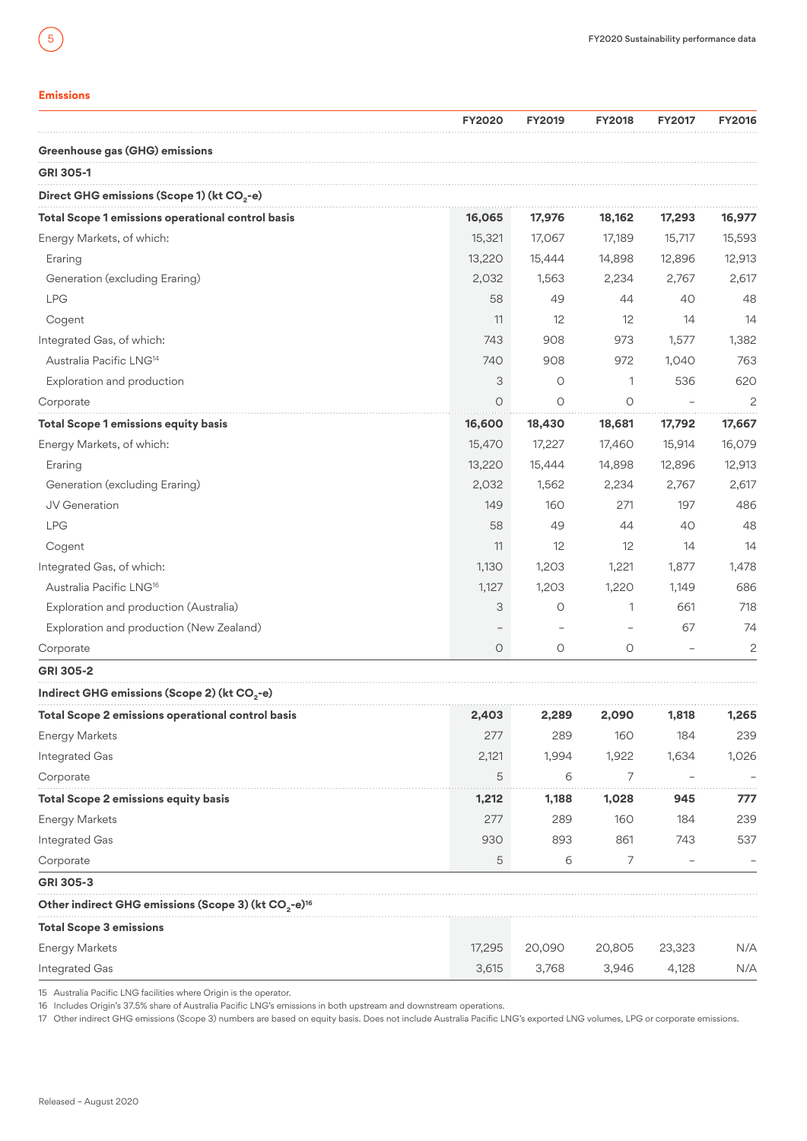# <span id="page-4-0"></span>**Emissions**

|                                                                              | <b>FY2020</b> | <b>FY2019</b> | <b>FY2018</b> | <b>FY2017</b> | <b>FY2016</b>  |
|------------------------------------------------------------------------------|---------------|---------------|---------------|---------------|----------------|
| Greenhouse gas (GHG) emissions                                               |               |               |               |               |                |
| <b>GRI 305-1</b>                                                             |               |               |               |               |                |
| Direct GHG emissions (Scope 1) (kt CO <sub>2</sub> -e)                       |               |               |               |               |                |
| Total Scope 1 emissions operational control basis                            | 16,065        | 17,976        | 18,162        | 17,293        | 16,977         |
| Energy Markets, of which:                                                    | 15,321        | 17,067        | 17,189        | 15,717        | 15,593         |
| Eraring                                                                      | 13,220        | 15,444        | 14,898        | 12,896        | 12,913         |
| Generation (excluding Eraring)                                               | 2,032         | 1,563         | 2,234         | 2,767         | 2,617          |
| <b>LPG</b>                                                                   | 58            | 49            | 44            | 40            | 48             |
| Cogent                                                                       | 11            | 12            | 12            | 14            | 14             |
| Integrated Gas, of which:                                                    | 743           | 908           | 973           | 1,577         | 1,382          |
| Australia Pacific LNG <sup>14</sup>                                          | 740           | 908           | 972           | 1,040         | 763            |
| Exploration and production                                                   | 3             | O             | 1             | 536           | 620            |
| Corporate                                                                    | $\circ$       | O             | 0             |               | $\overline{c}$ |
| <b>Total Scope 1 emissions equity basis</b>                                  | 16,600        | 18,430        | 18,681        | 17,792        | 17,667         |
| Energy Markets, of which:                                                    | 15,470        | 17,227        | 17,460        | 15,914        | 16,079         |
| Eraring                                                                      | 13,220        | 15,444        | 14,898        | 12,896        | 12,913         |
| Generation (excluding Eraring)                                               | 2,032         | 1,562         | 2,234         | 2,767         | 2,617          |
| JV Generation                                                                | 149           | 160           | 271           | 197           | 486            |
| <b>LPG</b>                                                                   | 58            | 49            | 44            | 40            | 48             |
| Cogent                                                                       | 11            | 12            | 12            | 14            | 14             |
| Integrated Gas, of which:                                                    | 1,130         | 1,203         | 1,221         | 1,877         | 1,478          |
| Australia Pacific LNG <sup>16</sup>                                          | 1,127         | 1,203         | 1,220         | 1,149         | 686            |
| Exploration and production (Australia)                                       | 3             | O             | 1             | 661           | 718            |
| Exploration and production (New Zealand)                                     |               |               |               | 67            | 74             |
| Corporate                                                                    | $\circ$       | $\circ$       | 0             |               | $\overline{c}$ |
| <b>GRI 305-2</b>                                                             |               |               |               |               |                |
| Indirect GHG emissions (Scope 2) (kt CO <sub>2</sub> -e)                     |               |               |               |               |                |
| Total Scope 2 emissions operational control basis                            | 2,403         | 2,289         | 2,090         | 1,818         | 1,265          |
| <b>Energy Markets</b>                                                        | 277           | 289           | 160           | 184           | 239            |
| Integrated Gas                                                               | 2,121         | 1,994         | 1,922         | 1,634         | 1,026          |
| Corporate                                                                    | 5             | 6             | 7             |               |                |
| Total Scope 2 emissions equity basis                                         | 1,212         | 1,188         | 1,028         | 945           | 777            |
| <b>Energy Markets</b>                                                        | 277           | 289           | 160           | 184           | 239            |
| Integrated Gas                                                               | 930           | 893           | 861           | 743           | 537            |
| Corporate                                                                    | 5             | 6             | 7             |               |                |
| <b>GRI 305-3</b>                                                             |               |               |               |               |                |
| Other indirect GHG emissions (Scope 3) (kt CO <sub>2</sub> -e) <sup>16</sup> |               |               |               |               |                |
| <b>Total Scope 3 emissions</b>                                               |               |               |               |               |                |
| <b>Energy Markets</b>                                                        | 17,295        | 20,090        | 20,805        | 23,323        | N/A            |
| Integrated Gas                                                               | 3,615         | 3,768         | 3,946         | 4,128         | N/A            |

15 Australia Pacific LNG facilities where Origin is the operator.

16 Includes Origin's 37.5% share of Australia Pacific LNG's emissions in both upstream and downstream operations.

17 Other indirect GHG emissions (Scope 3) numbers are based on equity basis. Does not include Australia Pacific LNG's exported LNG volumes, LPG or corporate emissions.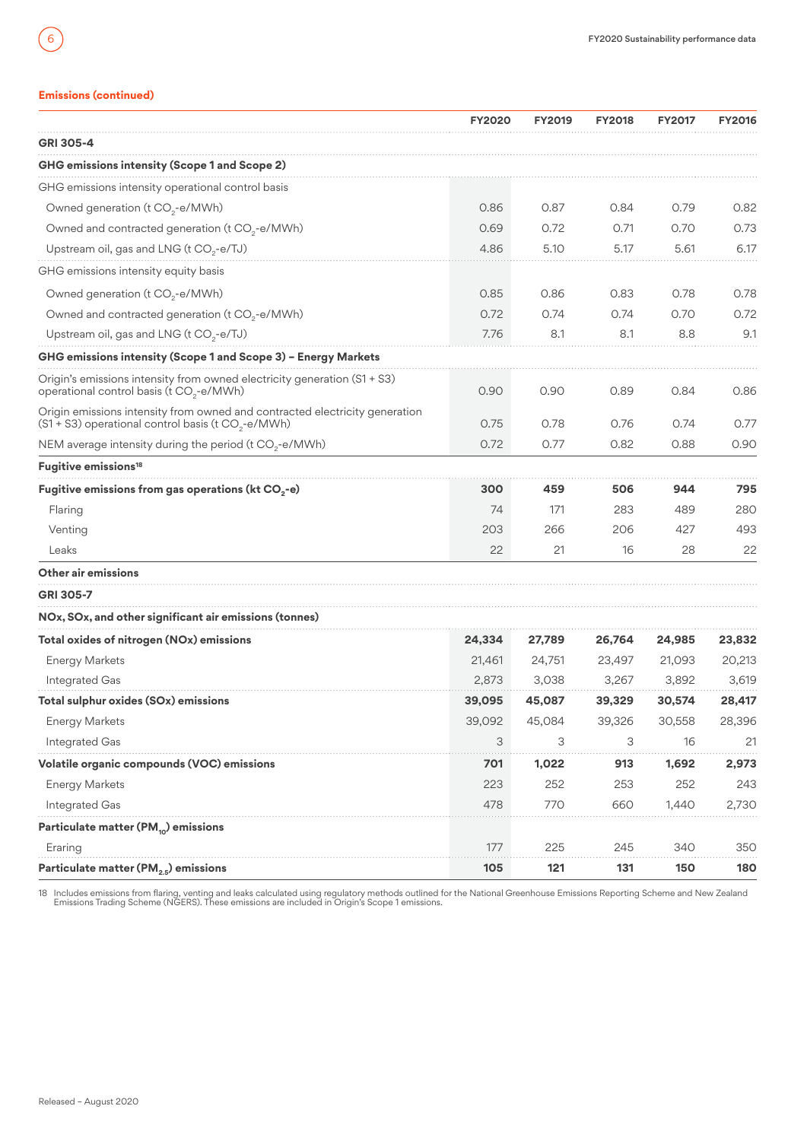# **Emissions (continued)**

6

|                                                                                                                                               | <b>FY2020</b> | <b>FY2019</b> | <b>FY2018</b> | <b>FY2017</b> | <b>FY2016</b> |
|-----------------------------------------------------------------------------------------------------------------------------------------------|---------------|---------------|---------------|---------------|---------------|
| <b>GRI 305-4</b>                                                                                                                              |               |               |               |               |               |
| GHG emissions intensity (Scope 1 and Scope 2)                                                                                                 |               |               |               |               |               |
| GHG emissions intensity operational control basis                                                                                             |               |               |               |               |               |
| Owned generation (t $CO2$ -e/MWh)                                                                                                             | 0.86          | 0.87          | 0.84          | 0.79          | 0.82          |
| Owned and contracted generation (t CO <sub>2</sub> -e/MWh)                                                                                    | 0.69          | 0.72          | 0.71          | 0.70          | 0.73          |
| Upstream oil, gas and LNG (t $CO2$ -e/TJ)                                                                                                     | 4.86          | 5.10          | 5.17          | 5.61          | 6.17          |
| GHG emissions intensity equity basis                                                                                                          |               |               |               |               |               |
| Owned generation (t CO <sub>2</sub> -e/MWh)                                                                                                   | 0.85          | 0.86          | 0.83          | 0.78          | 0.78          |
| Owned and contracted generation (t CO <sub>2</sub> -e/MWh)                                                                                    | 0.72          | 0.74          | 0.74          | 0.70          | 0.72          |
| Upstream oil, gas and LNG (t CO <sub>2</sub> -e/TJ)                                                                                           | 7.76          | 8.1           | 8.1           | 8.8           | 9.1           |
| GHG emissions intensity (Scope 1 and Scope 3) - Energy Markets                                                                                |               |               |               |               |               |
| Origin's emissions intensity from owned electricity generation (S1 + S3)<br>operational control basis (t CO <sub>2</sub> -e/MWh)              | 0.90          | 0.90          | 0.89          | 0.84          | 0.86          |
| Origin emissions intensity from owned and contracted electricity generation<br>(S1 + S3) operational control basis (t CO <sub>2</sub> -e/MWh) | 0.75          | 0.78          | 0.76          | 0.74          | 0.77          |
| NEM average intensity during the period (t $CO2$ -e/MWh)                                                                                      | 0.72          | 0.77          | 0.82          | 0.88          | 0.90          |
| Fugitive emissions <sup>18</sup>                                                                                                              |               |               |               |               |               |
| Fugitive emissions from gas operations (kt $CO2$ -e)                                                                                          | 300           | 459           | 506           | 944           | 795           |
| Flaring                                                                                                                                       | 74            | 171           | 283           | 489           | 280           |
| Venting                                                                                                                                       | 203           | 266           | 206           | 427           | 493           |
| Leaks                                                                                                                                         | 22            | 21            | 16            | 28            | 22            |
| Other air emissions                                                                                                                           |               |               |               |               |               |
| <b>GRI 305-7</b>                                                                                                                              |               |               |               |               |               |
| NOx, SOx, and other significant air emissions (tonnes)                                                                                        |               |               |               |               |               |
| Total oxides of nitrogen (NOx) emissions                                                                                                      | 24,334        | 27,789        | 26,764        | 24,985        | 23,832        |
| <b>Energy Markets</b>                                                                                                                         | 21.461        | 24,751        | 23,497        | 21,093        | 20,213        |
| Integrated Gas                                                                                                                                | 2,873         | 3,038         | 3,267         | 3,892         | 3,619         |
| Total sulphur oxides (SOx) emissions                                                                                                          | 39,095        | 45,087        | 39,329        | 30,574        | 28,417        |
| <b>Energy Markets</b>                                                                                                                         | 39,092        | 45,084        | 39,326        | 30,558        | 28,396        |
| Integrated Gas                                                                                                                                | 3             | 3             | 3             | 16            | 21            |
| Volatile organic compounds (VOC) emissions                                                                                                    | 701           | 1,022         | 913           | 1,692         | 2,973         |
| <b>Energy Markets</b>                                                                                                                         | 223           | 252           | 253           | 252           | 243           |
| Integrated Gas                                                                                                                                | 478           | 770           | 660           | 1,440         | 2,730         |
| Particulate matter (PM <sub>10</sub> ) emissions                                                                                              |               |               |               |               |               |
| Eraring                                                                                                                                       | 177           | 225           | 245           | 340           | 350           |
| Particulate matter ( $PM25$ ) emissions                                                                                                       | 105           | 121           | 131           | 150           | 180           |

18 Includes emissions from flaring, venting and leaks calculated using regulatory methods outlined for the National Greenhouse Emissions Reporting Scheme and New Zealand<br>Emissions Trading Scheme (NGERS). These emissions ar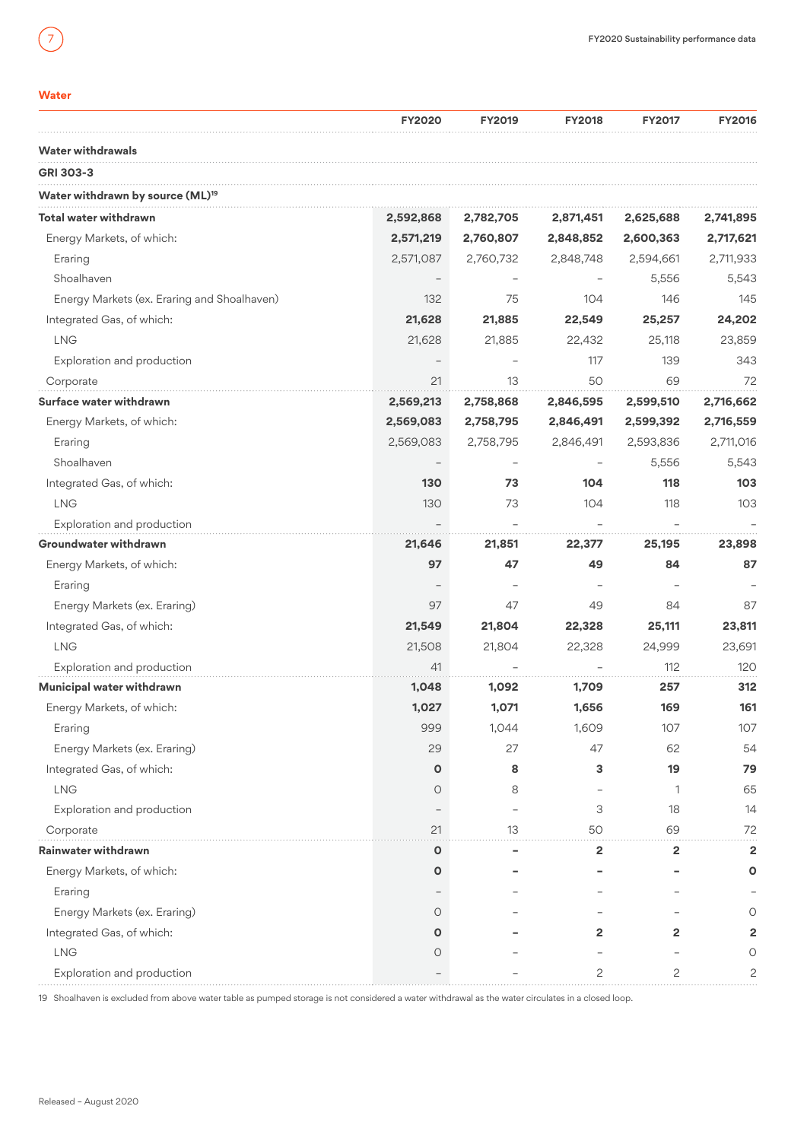# <span id="page-6-0"></span>**Water**

|                                              | <b>FY2020</b> | <b>FY2019</b> | <b>FY2018</b> | <b>FY2017</b> | <b>FY2016</b>  |
|----------------------------------------------|---------------|---------------|---------------|---------------|----------------|
| <b>Water withdrawals</b>                     |               |               |               |               |                |
| GRI 303-3                                    |               |               |               |               |                |
| Water withdrawn by source (ML) <sup>19</sup> |               |               |               |               |                |
| Total water withdrawn                        | 2,592,868     | 2,782,705     | 2,871,451     | 2,625,688     | 2,741,895      |
| Energy Markets, of which:                    | 2,571,219     | 2,760,807     | 2,848,852     | 2,600,363     | 2,717,621      |
| Eraring                                      | 2,571,087     | 2,760,732     | 2,848,748     | 2,594,661     | 2,711,933      |
| Shoalhaven                                   |               |               |               | 5.556         | 5,543          |
| Energy Markets (ex. Eraring and Shoalhaven)  | 132           | 75            | 104           | 146           | 145            |
| Integrated Gas, of which:                    | 21,628        | 21,885        | 22,549        | 25,257        | 24,202         |
| <b>LNG</b>                                   | 21,628        | 21,885        | 22,432        | 25,118        | 23,859         |
| Exploration and production                   |               |               | 117           | 139           | 343            |
| Corporate                                    | 21            | 13            | 50            | 69            | 72             |
| Surface water withdrawn                      | 2,569,213     | 2,758,868     | 2,846,595     | 2,599,510     | 2,716,662      |
| Energy Markets, of which:                    | 2,569,083     | 2,758,795     | 2,846,491     | 2,599,392     | 2,716,559      |
| Eraring                                      | 2,569,083     | 2,758,795     | 2,846,491     | 2,593,836     | 2,711,016      |
| Shoalhaven                                   |               |               |               | 5,556         | 5,543          |
| Integrated Gas, of which:                    | 130           | 73            | 104           | 118           | 103            |
| <b>LNG</b>                                   | 130           | 73            | 104           | 118           | 103            |
| Exploration and production                   |               |               |               |               |                |
| Groundwater withdrawn                        | 21,646        | 21,851        | 22,377        | 25,195        | 23,898         |
| Energy Markets, of which:                    | 97            | 47            | 49            | 84            | 87             |
| Eraring                                      |               |               |               |               |                |
| Energy Markets (ex. Eraring)                 | 97            | 47            | 49            | 84            | 87             |
| Integrated Gas, of which:                    | 21,549        | 21,804        | 22,328        | 25,111        | 23,811         |
| <b>LNG</b>                                   | 21,508        | 21,804        | 22,328        | 24,999        | 23,691         |
| Exploration and production                   | 41            |               |               | 112           | 120            |
| Municipal water withdrawn                    | 1,048         | 1,092         | 1,709         | 257           | 312            |
| Energy Markets, of which:                    | 1,027         | 1,071         | 1,656         | 169           | 161            |
| Eraring                                      | 999           | 1,044         | 1,609         | 107           | 107            |
| Energy Markets (ex. Eraring)                 | 29            | 27            | 47            | 62            | 54             |
| Integrated Gas, of which:                    | O             | 8             | 3             | 19            | 79             |
| <b>LNG</b>                                   | $\circ$       | 8             |               | 1             | 65             |
| Exploration and production                   |               |               | 3             | 18            | 14             |
| Corporate                                    | 21            | 13            | 50            | 69            | 72             |
| Rainwater withdrawn                          | O             |               | 2             | 2             | $\overline{2}$ |
| Energy Markets, of which:                    | O             |               |               |               | Ο              |
| Eraring                                      |               |               |               |               |                |
| Energy Markets (ex. Eraring)                 | 0             |               |               |               | Ο              |
| Integrated Gas, of which:                    | O             |               | 2             | $\mathbf{2}$  | 2              |
| <b>LNG</b>                                   | Ο             |               |               |               | Ο              |
| Exploration and production                   |               |               | 2             | 2             | 2              |

19 Shoalhaven is excluded from above water table as pumped storage is not considered a water withdrawal as the water circulates in a closed loop.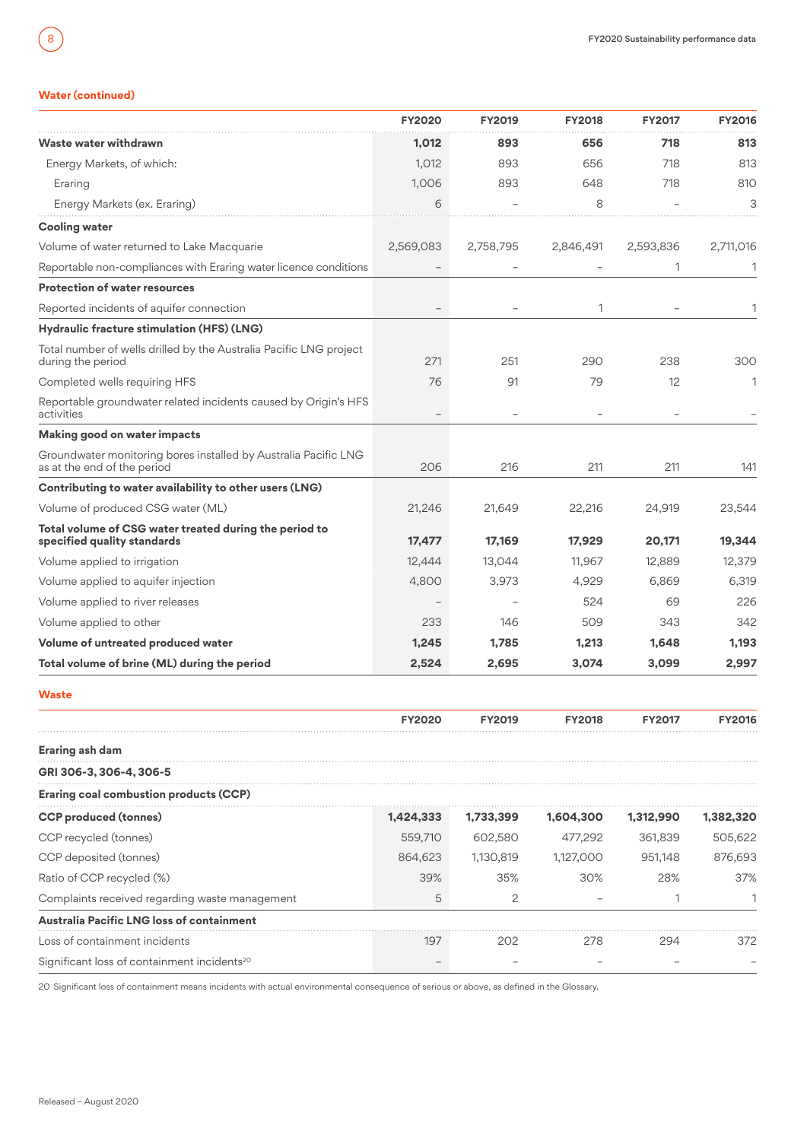# **Water (continued)**

<span id="page-7-0"></span>8

|                                                                                                | <b>FY2020</b> | <b>FY2019</b> | <b>FY2018</b> | <b>FY2017</b> | <b>FY2016</b> |
|------------------------------------------------------------------------------------------------|---------------|---------------|---------------|---------------|---------------|
| Waste water withdrawn                                                                          | 1,012         | 893           | 656           | 718           | 813           |
| Energy Markets, of which:                                                                      | 1,012         | 893           | 656           | 718           | 813           |
| Eraring                                                                                        | 1,006         | 893           | 648           | 718           | 810           |
| Energy Markets (ex. Eraring)                                                                   | 6             |               | 8             |               | 3             |
| <b>Cooling water</b>                                                                           |               |               |               |               |               |
| Volume of water returned to Lake Macquarie                                                     | 2,569,083     | 2,758,795     | 2,846,491     | 2,593,836     | 2,711,016     |
| Reportable non-compliances with Eraring water licence conditions                               |               |               |               | 1             | 1             |
| <b>Protection of water resources</b>                                                           |               |               |               |               |               |
| Reported incidents of aquifer connection                                                       |               |               | 1             |               | 1             |
| Hydraulic fracture stimulation (HFS) (LNG)                                                     |               |               |               |               |               |
| Total number of wells drilled by the Australia Pacific LNG project<br>during the period        | 271           | 251           | 290           | 238           | 300           |
| Completed wells requiring HFS                                                                  | 76            | 91            | 79            | 12            | 1             |
| Reportable groundwater related incidents caused by Origin's HFS<br>activities                  |               |               |               |               |               |
| Making good on water impacts                                                                   |               |               |               |               |               |
| Groundwater monitoring bores installed by Australia Pacific LNG<br>as at the end of the period | 206           | 216           | 211           | 211           | 141           |
| Contributing to water availability to other users (LNG)                                        |               |               |               |               |               |
| Volume of produced CSG water (ML)                                                              | 21,246        | 21,649        | 22,216        | 24,919        | 23,544        |
| Total volume of CSG water treated during the period to<br>specified quality standards          | 17,477        | 17,169        | 17,929        | 20,171        | 19,344        |
| Volume applied to irrigation                                                                   | 12,444        | 13,044        | 11,967        | 12,889        | 12,379        |
| Volume applied to aquifer injection                                                            | 4,800         | 3,973         | 4,929         | 6,869         | 6,319         |
| Volume applied to river releases                                                               |               |               | 524           | 69            | 226           |
| Volume applied to other                                                                        | 233           | 146           | 509           | 343           | 342           |
| Volume of untreated produced water                                                             | 1,245         | 1,785         | 1,213         | 1,648         | 1,193         |
| Total volume of brine (ML) during the period                                                   | 2,524         | 2,695         | 3,074         | 3,099         | 2,997         |
| <b>Waste</b>                                                                                   |               |               |               |               |               |
|                                                                                                | <b>FY2020</b> | <b>FY2019</b> | <b>FY2018</b> | <b>FY2017</b> | <b>FY2016</b> |
| <b>Eraring ash dam</b>                                                                         |               |               |               |               |               |
| GRI 306-3, 306-4, 306-5                                                                        |               |               |               |               |               |
| <b>Eraring coal combustion products (CCP)</b>                                                  |               |               |               |               |               |
| <b>CCP</b> produced (tonnes)                                                                   | 1,424,333     | 1,733,399     | 1,604,300     | 1,312,990     | 1,382,320     |
| CCP recycled (tonnes)                                                                          | 559,710       | 602,580       | 477,292       | 361,839       | 505,622       |
| CCP deposited (tonnes)                                                                         | 864,623       | 1,130,819     | 1,127,000     | 951,148       | 876,693       |
| Ratio of CCP recycled (%)                                                                      | 39%           | 35%           | 30%           | 28%           | 37%           |
| Complaints received regarding waste management                                                 | 5             | 2             |               | 1             | 1             |
| Australia Pacific LNG loss of containment                                                      |               |               |               |               |               |
| Loss of containment incidents                                                                  | 197           | 202           | 278           | 294           | 372           |
| Significant loss of containment incidents <sup>20</sup>                                        |               |               |               |               |               |

20 Significant loss of containment means incidents with actual environmental consequence of serious or above, as defined in the Glossary.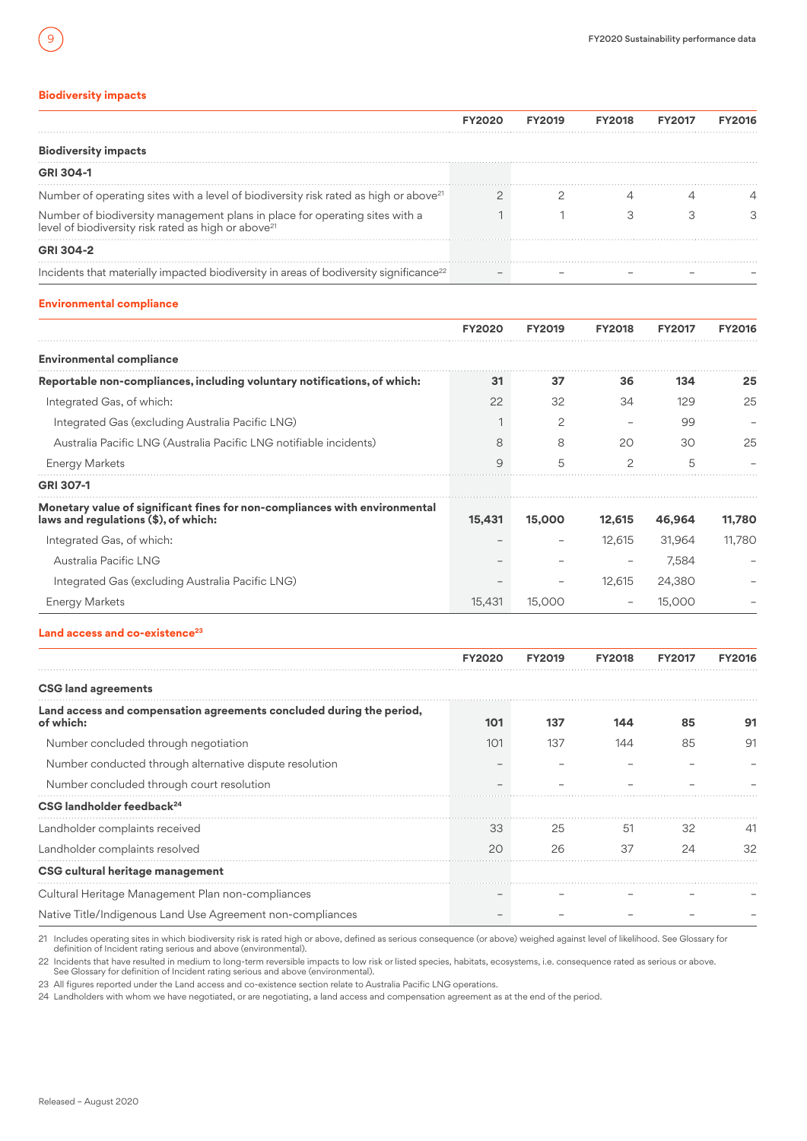# **Biodiversity impacts**

<span id="page-8-0"></span>9

|                                                                                                                                                | <b>FY2020</b>  | <b>FY2019</b> | <b>FY2018</b>  | <b>FY2017</b> | <b>FY2016</b> |
|------------------------------------------------------------------------------------------------------------------------------------------------|----------------|---------------|----------------|---------------|---------------|
| <b>Biodiversity impacts</b>                                                                                                                    |                |               |                |               |               |
| <b>GRI 304-1</b>                                                                                                                               |                |               |                |               |               |
| Number of operating sites with a level of biodiversity risk rated as high or above <sup>21</sup>                                               | $\overline{2}$ | 2             | 4              | $\Delta$      |               |
| Number of biodiversity management plans in place for operating sites with a<br>level of biodiversity risk rated as high or above <sup>21</sup> | $\mathbf{1}$   | $\mathbf{1}$  | 3              | 3             | 3             |
| <b>GRI 304-2</b>                                                                                                                               |                |               |                |               |               |
| Incidents that materially impacted biodiversity in areas of bodiversity significance <sup>22</sup>                                             |                |               |                |               |               |
| <b>Environmental compliance</b>                                                                                                                |                |               |                |               |               |
|                                                                                                                                                | <b>FY2020</b>  | <b>FY2019</b> | <b>FY2018</b>  | <b>FY2017</b> | <b>FY2016</b> |
| <b>Environmental compliance</b>                                                                                                                |                |               |                |               |               |
| Reportable non-compliances, including voluntary notifications, of which:                                                                       | 31             | 37            | 36             | 134           | 25            |
| Integrated Gas, of which:                                                                                                                      | 22             | 32            | 34             | 129           | 25            |
| Integrated Gas (excluding Australia Pacific LNG)                                                                                               | 1              | 2             |                | 99            |               |
| Australia Pacific LNG (Australia Pacific LNG notifiable incidents)                                                                             | 8              | 8             | 20             | 30            | 25            |
| <b>Energy Markets</b>                                                                                                                          | 9              | 5             | $\overline{c}$ | 5             |               |
| GRI 307-1                                                                                                                                      |                |               |                |               |               |
| Monetary value of significant fines for non-compliances with environmental<br>laws and regulations (\$), of which:                             | 15,431         | 15,000        | 12,615         | 46,964        | 11,780        |
| Integrated Gas, of which:                                                                                                                      |                |               | 12,615         | 31,964        | 11,780        |
| Australia Pacific LNG                                                                                                                          |                |               |                | 7,584         |               |
| Integrated Gas (excluding Australia Pacific LNG)                                                                                               |                |               | 12,615         | 24,380        |               |
| <b>Energy Markets</b>                                                                                                                          | 15,431         | 15,000        |                | 15,000        |               |
| Land access and co-existence <sup>23</sup>                                                                                                     |                |               |                |               |               |

|                                                                                   | <b>FY2020</b> | <b>FY2019</b> | <b>FY2018</b> | <b>FY2017</b> | <b>FY2016</b> |
|-----------------------------------------------------------------------------------|---------------|---------------|---------------|---------------|---------------|
| <b>CSG land agreements</b>                                                        |               |               |               |               |               |
| Land access and compensation agreements concluded during the period,<br>of which: | 101           | 137           | 144           | 85            | 91            |
| Number concluded through negotiation                                              | 101           | 137           | 144           | 85            | 91            |
| Number conducted through alternative dispute resolution                           |               |               |               |               |               |
| Number concluded through court resolution                                         |               |               |               |               |               |
| CSG landholder feedback <sup>24</sup>                                             |               |               |               |               |               |
| Landholder complaints received                                                    | 33            | 25            | -51           | 32            | -41           |
| Landholder complaints resolved                                                    | 20            | 26            | 37            | 24            | 32            |
| CSG cultural heritage management                                                  |               |               |               |               |               |
| Cultural Heritage Management Plan non-compliances                                 |               |               |               |               |               |
| Native Title/Indigenous Land Use Agreement non-compliances                        |               |               |               |               |               |

21 Includes operating sites in which biodiversity risk is rated high or above, defined as serious consequence (or above) weighed against level of likelihood. See Glossary for definition of Incident rating serious and above (environmental).

22 Incidents that have resulted in medium to long-term reversible impacts to low risk or listed species, habitats, ecosystems, i.e. consequence rated as serious or above.<br>See Glossary for definition of Incident rating seri

23 All figures reported under the Land access and co-existence section relate to Australia Pacific LNG operations.

24 Landholders with whom we have negotiated, or are negotiating, a land access and compensation agreement as at the end of the period.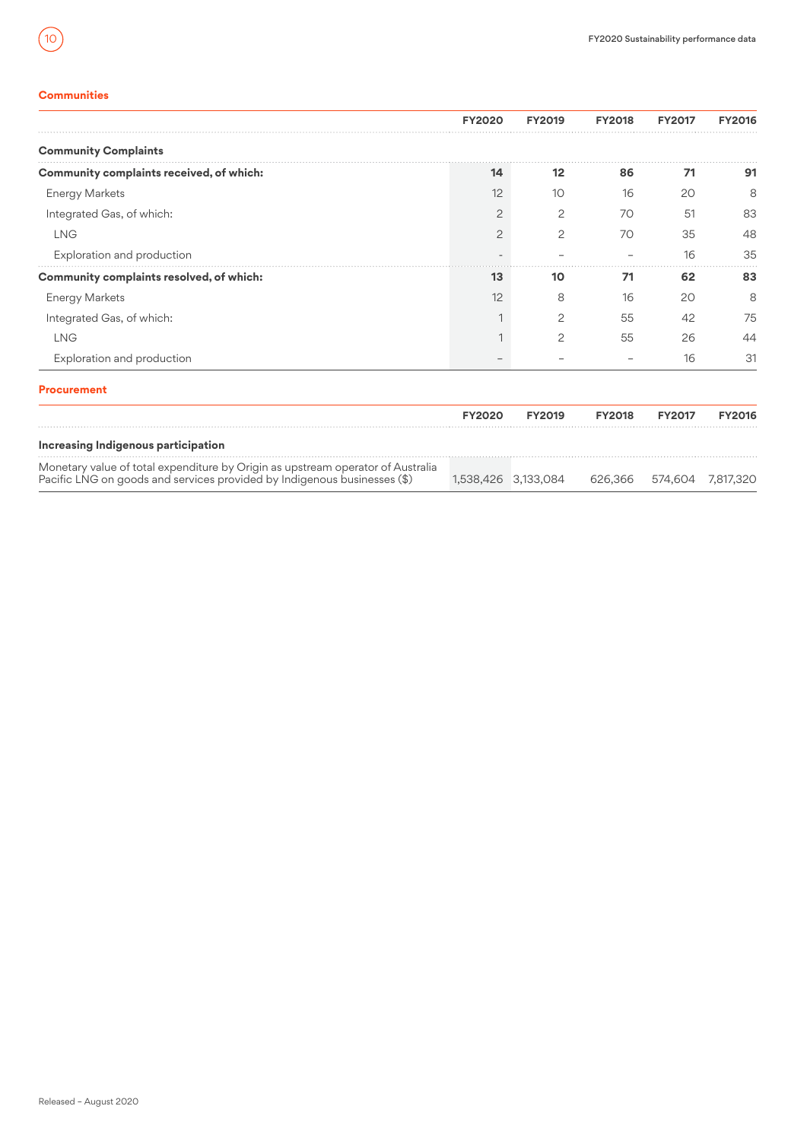# **Communities**

<span id="page-9-0"></span> $10$ 

|                                                                                                                                                             | <b>FY2020</b> | <b>FY2019</b>       | <b>FY2018</b> | <b>FY2017</b> | <b>FY2016</b>     |
|-------------------------------------------------------------------------------------------------------------------------------------------------------------|---------------|---------------------|---------------|---------------|-------------------|
| <b>Community Complaints</b>                                                                                                                                 |               |                     |               |               |                   |
| Community complaints received, of which:                                                                                                                    | 14            | 12                  | 86            | 71            | 91                |
| <b>Energy Markets</b>                                                                                                                                       | 12            | 10                  | 16            | 20            | 8                 |
| Integrated Gas, of which:                                                                                                                                   | 2             | $\overline{c}$      | 70            | 51            | 83                |
| <b>LNG</b>                                                                                                                                                  | 2             | 2                   | 70            | 35            | 48                |
| Exploration and production                                                                                                                                  |               |                     |               | 16            | 35                |
| Community complaints resolved, of which:                                                                                                                    | 13            | 10                  | 71            | 62            | 83                |
| <b>Energy Markets</b>                                                                                                                                       | 12            | 8                   | 16            | 20            | 8                 |
| Integrated Gas, of which:                                                                                                                                   |               | $\overline{c}$      | 55            | 42            | 75                |
| <b>LNG</b>                                                                                                                                                  |               | 2                   | 55            | 26            | 44                |
| Exploration and production                                                                                                                                  |               |                     |               | 16            | 31                |
| <b>Procurement</b>                                                                                                                                          |               |                     |               |               |                   |
|                                                                                                                                                             | <b>FY2020</b> | <b>FY2019</b>       | <b>FY2018</b> | <b>FY2017</b> | <b>FY2016</b>     |
| Increasing Indigenous participation                                                                                                                         |               |                     |               |               |                   |
| Monetary value of total expenditure by Origin as upstream operator of Australia<br>Pacific LNG on goods and services provided by Indigenous businesses (\$) |               | 1.538.426 3.133.084 | 626.366       |               | 574.604 7.817.320 |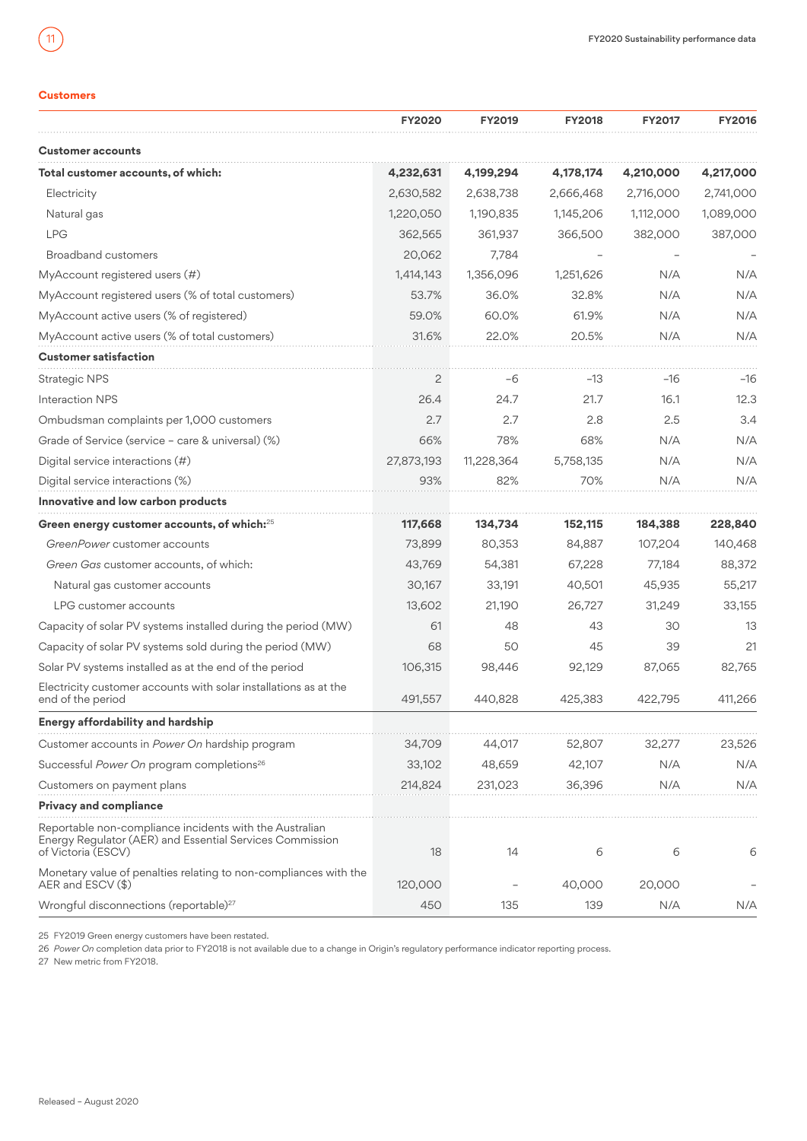# **Customers**

<span id="page-10-0"></span> $\overline{11}$ 

|                                                                                                                                           | <b>FY2020</b>  | <b>FY2019</b> | <b>FY2018</b> | <b>FY2017</b> | <b>FY2016</b> |
|-------------------------------------------------------------------------------------------------------------------------------------------|----------------|---------------|---------------|---------------|---------------|
| <b>Customer accounts</b>                                                                                                                  |                |               |               |               |               |
| Total customer accounts, of which:                                                                                                        | 4,232,631      | 4,199,294     | 4,178,174     | 4,210,000     | 4,217,000     |
| Electricity                                                                                                                               | 2,630,582      | 2,638,738     | 2,666,468     | 2,716,000     | 2,741,000     |
| Natural gas                                                                                                                               | 1,220,050      | 1,190,835     | 1,145,206     | 1,112,000     | 1,089,000     |
| <b>LPG</b>                                                                                                                                | 362,565        | 361,937       | 366,500       | 382,000       | 387,000       |
| <b>Broadband customers</b>                                                                                                                | 20,062         | 7,784         |               |               |               |
| MyAccount registered users (#)                                                                                                            | 1,414,143      | 1,356,096     | 1,251,626     | N/A           | N/A           |
| MyAccount registered users (% of total customers)                                                                                         | 53.7%          | 36.0%         | 32.8%         | N/A           | N/A           |
| MyAccount active users (% of registered)                                                                                                  | 59.0%          | 60.0%         | 61.9%         | N/A           | N/A           |
| MyAccount active users (% of total customers)                                                                                             | 31.6%          | 22.0%         | 20.5%         | N/A           | N/A           |
| <b>Customer satisfaction</b>                                                                                                              |                |               |               |               |               |
| <b>Strategic NPS</b>                                                                                                                      | $\overline{c}$ | -6            | $-13$         | $-16$         | $-16$         |
| Interaction NPS                                                                                                                           | 26.4           | 24.7          | 21.7          | 16.1          | 12.3          |
| Ombudsman complaints per 1,000 customers                                                                                                  | 2.7            | 2.7           | 2.8           | 2.5           | 3.4           |
| Grade of Service (service - care & universal) (%)                                                                                         | 66%            | 78%           | 68%           | N/A           | N/A           |
| Digital service interactions $(\#)$                                                                                                       | 27,873,193     | 11,228,364    | 5,758,135     | N/A           | N/A           |
| Digital service interactions (%)                                                                                                          | 93%            | 82%           | 70%           | N/A           | N/A           |
| Innovative and low carbon products                                                                                                        |                |               |               |               |               |
| Green energy customer accounts, of which: <sup>25</sup>                                                                                   | 117,668        | 134,734       | 152,115       | 184,388       | 228,840       |
| GreenPower customer accounts                                                                                                              | 73,899         | 80,353        | 84,887        | 107,204       | 140,468       |
| Green Gas customer accounts, of which:                                                                                                    | 43,769         | 54,381        | 67,228        | 77,184        | 88,372        |
| Natural gas customer accounts                                                                                                             | 30,167         | 33,191        | 40,501        | 45,935        | 55,217        |
| LPG customer accounts                                                                                                                     | 13,602         | 21,190        | 26,727        | 31,249        | 33,155        |
| Capacity of solar PV systems installed during the period (MW)                                                                             | 61             | 48            | 43            | 30            | 13            |
| Capacity of solar PV systems sold during the period (MW)                                                                                  | 68             | 50            | 45            | 39            | 21            |
| Solar PV systems installed as at the end of the period                                                                                    | 106,315        | 98,446        | 92,129        | 87,065        | 82,765        |
| Electricity customer accounts with solar installations as at the<br>end of the period                                                     | 491,557        | 440,828       | 425,383       | 422,795       | 411,266       |
| Energy affordability and hardship                                                                                                         |                |               |               |               |               |
| Customer accounts in Power On hardship program                                                                                            | 34,709         | 44,017        | 52,807        | 32,277        | 23,526        |
| Successful Power On program completions <sup>26</sup>                                                                                     | 33,102         | 48,659        | 42,107        | N/A           | N/A           |
| Customers on payment plans                                                                                                                | 214,824        | 231,023       | 36,396        | N/A           | N/A           |
| <b>Privacy and compliance</b>                                                                                                             |                |               |               |               |               |
| Reportable non-compliance incidents with the Australian<br>Energy Regulator (AER) and Essential Services Commission<br>of Victoria (ESCV) | 18             | 14            | 6             | 6             | 6             |
| Monetary value of penalties relating to non-compliances with the<br>AER and ESCV (\$)                                                     | 120,000        |               | 40,000        | 20,000        |               |
| Wrongful disconnections (reportable) <sup>27</sup>                                                                                        | 450            | 135           | 139           | N/A           | N/A           |

25 FY2019 Green energy customers have been restated.

26 *Power On* completion data prior to FY2018 is not available due to a change in Origin's regulatory performance indicator reporting process.

27 New metric from FY2018.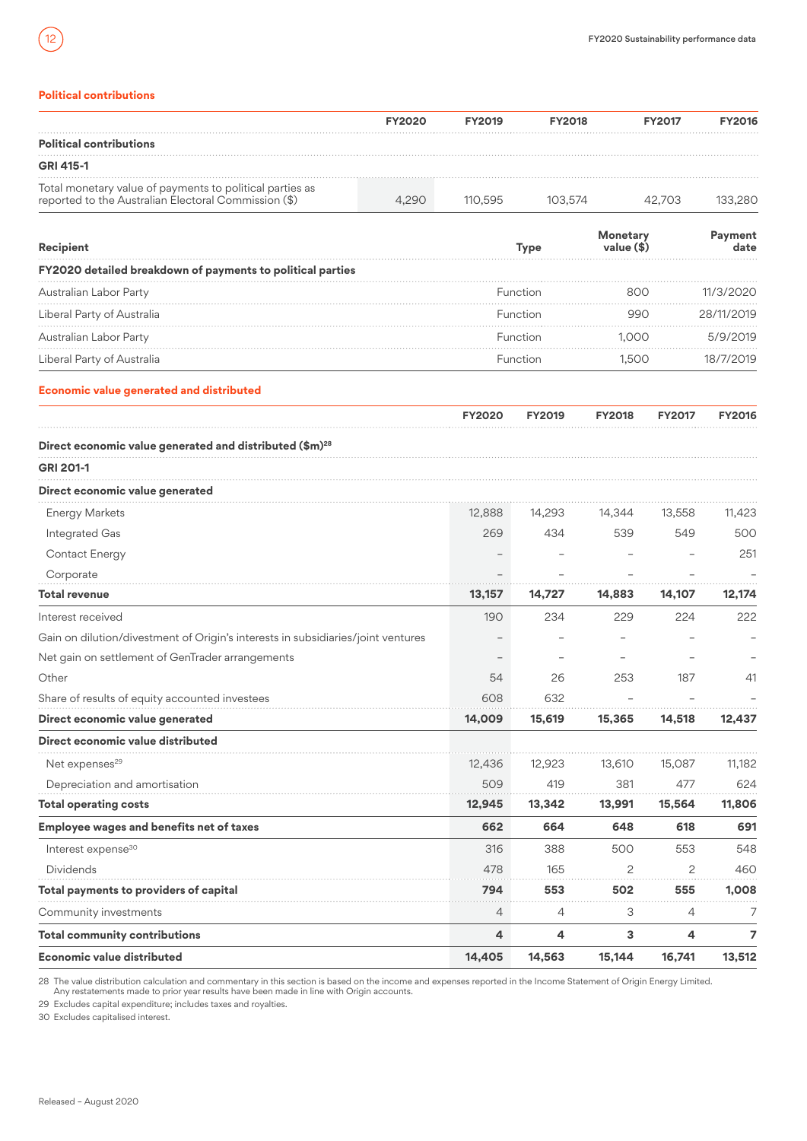# **Political contributions**

<span id="page-11-0"></span>12

|                                                                                                                  | <b>FY2020</b> | <b>FY2019</b> | <b>FY2018</b> | <b>FY2017</b> | <b>FY2016</b> |
|------------------------------------------------------------------------------------------------------------------|---------------|---------------|---------------|---------------|---------------|
| <b>Political contributions</b>                                                                                   |               |               |               |               |               |
| <b>GRI 415-1</b>                                                                                                 |               |               |               |               |               |
| Total monetary value of payments to political parties as<br>reported to the Australian Electoral Commission (\$) | 4.290         | 110.595       | 103.574       | 42.703        |               |

| Recipient                                                  | Type     | value (\$) | ment       |
|------------------------------------------------------------|----------|------------|------------|
| FY2020 detailed breakdown of payments to political parties |          |            |            |
| Australian Labor Party                                     | Function | റെറ        | 11/3/2020  |
| Liberal Party of Australia                                 | Function | 990        | 28/11/2019 |
| Australian Labor Party                                     | Function | 1.000      | 5/9/2019   |
| Liberal Party of Australia                                 | Eunction | 500        | 18/7/2019  |

# **Economic value generated and distributed**

|                                                                                  | <b>FY2020</b>  | <b>FY2019</b> | <b>FY2018</b> | <b>FY2017</b>  | <b>FY2016</b> |
|----------------------------------------------------------------------------------|----------------|---------------|---------------|----------------|---------------|
| Direct economic value generated and distributed (\$m) <sup>28</sup>              |                |               |               |                |               |
| <b>GRI 201-1</b>                                                                 |                |               |               |                |               |
| Direct economic value generated                                                  |                |               |               |                |               |
| <b>Energy Markets</b>                                                            | 12,888         | 14,293        | 14,344        | 13,558         | 11,423        |
| Integrated Gas                                                                   | 269            | 434           | 539           | 549            | 500           |
| Contact Energy                                                                   |                |               |               |                | 251           |
| Corporate                                                                        |                |               |               |                |               |
| <b>Total revenue</b>                                                             | 13,157         | 14,727        | 14,883        | 14,107         | 12,174        |
| Interest received                                                                | 190            | 234           | 229           | 224            | 222           |
| Gain on dilution/divestment of Origin's interests in subsidiaries/joint ventures |                |               |               |                |               |
| Net gain on settlement of GenTrader arrangements                                 |                |               |               |                |               |
| Other                                                                            | 54             | 26            | 253           | 187            | 41            |
| Share of results of equity accounted investees                                   | 608            | 632           |               |                |               |
| Direct economic value generated                                                  | 14,009         | 15,619        | 15,365        | 14,518         | 12,437        |
| Direct economic value distributed                                                |                |               |               |                |               |
| Net expenses <sup>29</sup>                                                       | 12,436         | 12,923        | 13,610        | 15,087         | 11,182        |
| Depreciation and amortisation                                                    | 509            | 419           | 381           | 477            | 624           |
| <b>Total operating costs</b>                                                     | 12,945         | 13,342        | 13,991        | 15,564         | 11,806        |
| <b>Employee wages and benefits net of taxes</b>                                  | 662            | 664           | 648           | 618            | 691           |
| Interest expense <sup>30</sup>                                                   | 316            | 388           | 500           | 553            | 548           |
| <b>Dividends</b>                                                                 | 478            | 165           | 2             | $\overline{c}$ | 460           |
| Total payments to providers of capital                                           | 794            | 553           | 502           | 555            | 1,008         |
| Community investments                                                            | $\overline{4}$ | 4             | 3             | 4              | 7             |
| <b>Total community contributions</b>                                             | $\overline{4}$ | 4             | 3             | 4              | 7             |
| <b>Economic value distributed</b>                                                | 14,405         | 14,563        | 15,144        | 16,741         | 13,512        |

28 The value distribution calculation and commentary in this section is based on the income and expenses reported in the Income Statement of Origin Energy Limited.<br>Any restatements made to prior year results have been made

29 Excludes capital expenditure; includes taxes and royalties.

30 Excludes capitalised interest.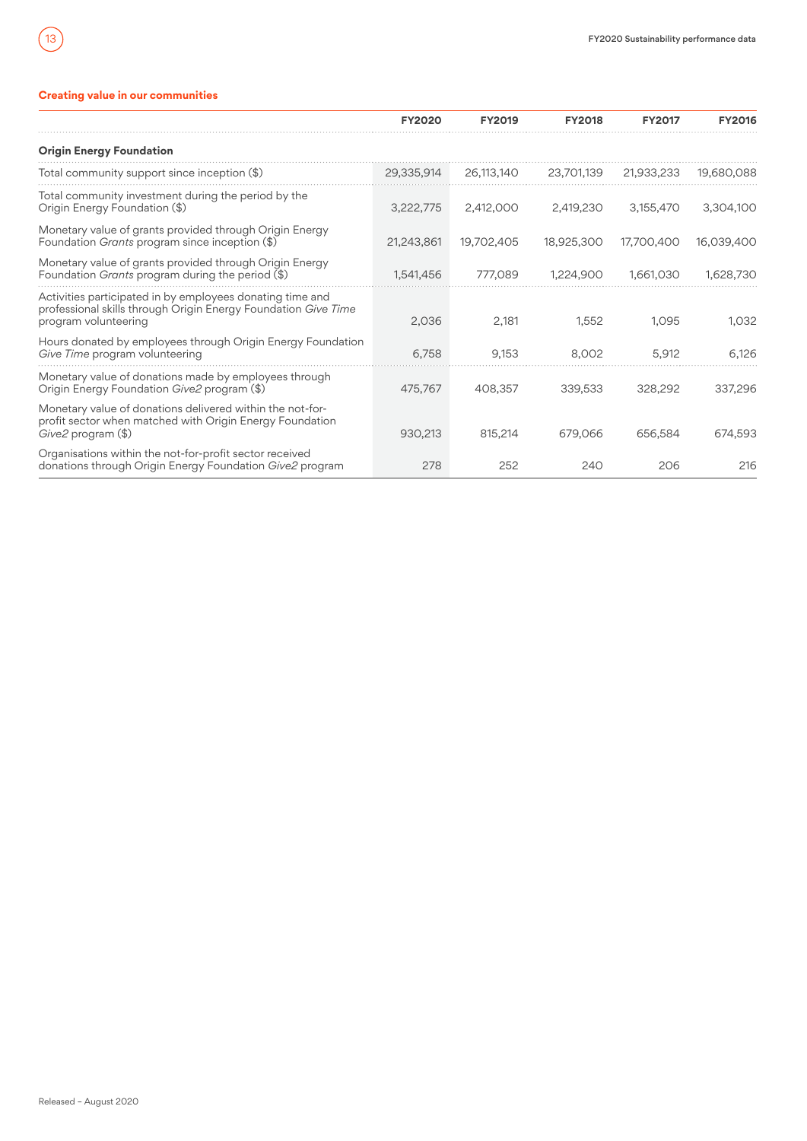# **Creating value in our communities**

<span id="page-12-0"></span> $\sqrt{13}$ 

|                                                                                                                                                     | <b>FY2020</b> | <b>FY2019</b> | <b>FY2018</b> | <b>FY2017</b> | <b>FY2016</b> |
|-----------------------------------------------------------------------------------------------------------------------------------------------------|---------------|---------------|---------------|---------------|---------------|
| <b>Origin Energy Foundation</b>                                                                                                                     |               |               |               |               |               |
| Total community support since inception (\$)                                                                                                        | 29.335.914    | 26,113,140    | 23,701,139    | 21,933,233    | 19,680,088    |
| Total community investment during the period by the<br>Origin Energy Foundation (\$)                                                                | 3,222,775     | 2,412,000     | 2,419,230     | 3,155,470     | 3,304,100     |
| Monetary value of grants provided through Origin Energy<br>Foundation <i>Grants</i> program since inception (\$)                                    | 21,243,861    | 19,702,405    | 18,925,300    | 17,700,400    | 16,039,400    |
| Monetary value of grants provided through Origin Energy<br>Foundation <i>Grants</i> program during the period $(\$)$                                | 1,541,456     | 777,089       | 1,224,900     | 1,661,030     | 1,628,730     |
| Activities participated in by employees donating time and<br>professional skills through Origin Energy Foundation Give Time<br>program volunteering | 2,036         | 2,181         | 1.552         | 1.095         | 1,032         |
| Hours donated by employees through Origin Energy Foundation<br>Give Time program volunteering                                                       | 6,758         | 9,153         | 8,002         | 5,912         | 6.126         |
| Monetary value of donations made by employees through<br>Origin Energy Foundation <i>Give2</i> program (\$)                                         | 475,767       | 408,357       | 339,533       | 328,292       | 337,296       |
| Monetary value of donations delivered within the not-for-<br>profit sector when matched with Origin Energy Foundation<br>Give2 program (\$)         | 930,213       | 815,214       | 679,066       | 656,584       | 674,593       |
| Organisations within the not-for-profit sector received<br>donations through Origin Energy Foundation Give2 program                                 | 278           | 252           | 240           | 206           | 216           |